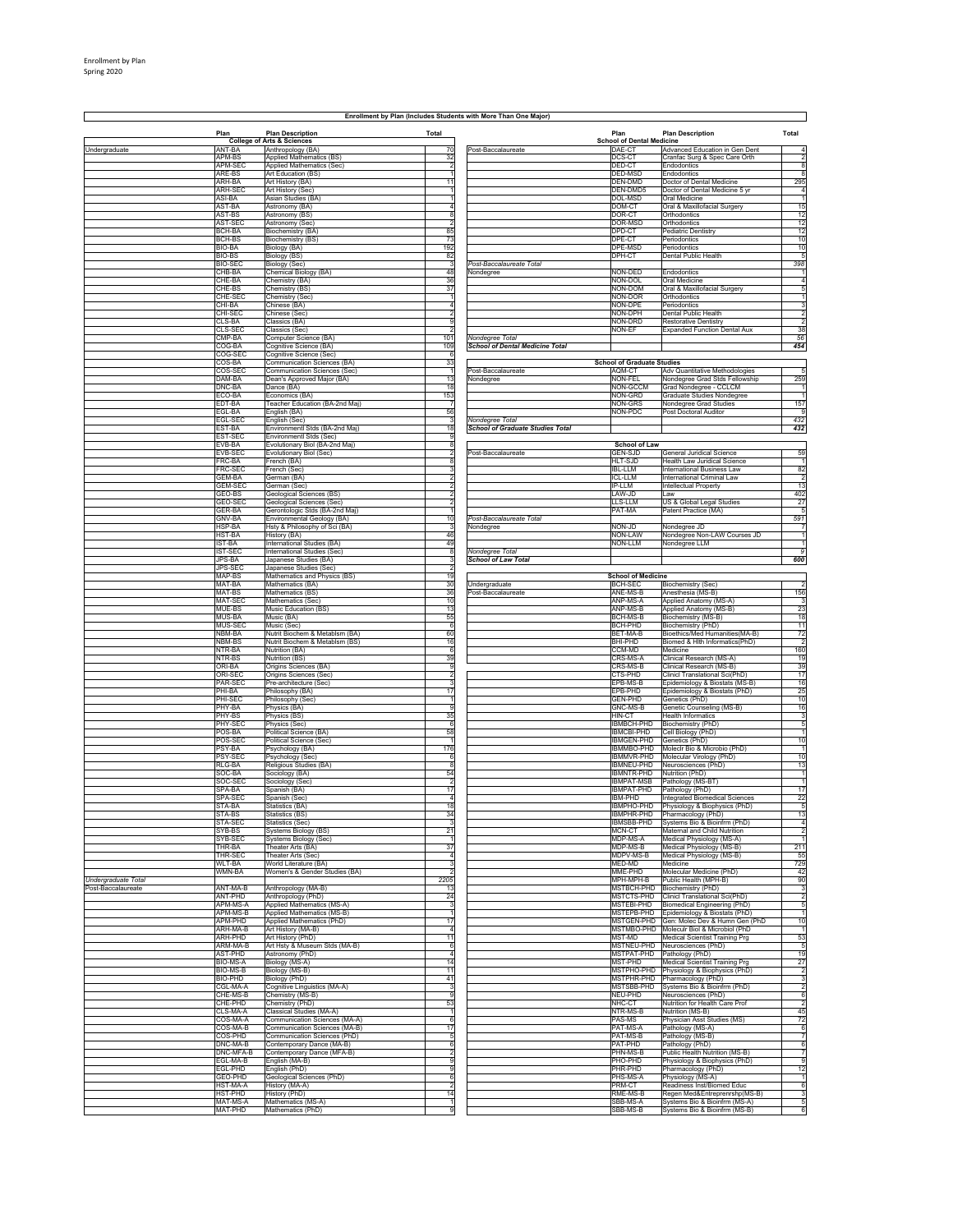|                     |                          |                                                               |                      | Enrollment by Plan (Includes Students with More Than One Major) |                                        |                                                                            |                                               |
|---------------------|--------------------------|---------------------------------------------------------------|----------------------|-----------------------------------------------------------------|----------------------------------------|----------------------------------------------------------------------------|-----------------------------------------------|
|                     | Plan                     | <b>Plan Description</b>                                       | Total                |                                                                 | Plan                                   | <b>Plan Description</b>                                                    | Total                                         |
|                     |                          | <b>College of Arts &amp; Sciences</b>                         |                      |                                                                 | <b>School of Dental Medicine</b>       |                                                                            |                                               |
| Undergraduate       | ANT-BA<br>APM-BS         | Anthropology (BA)<br>Applied Mathematics (BS)                 | 70<br>32             | Post-Baccalaureate                                              | DAE-CT<br>DCS-CT                       | Advanced Education in Gen Dent<br>Cranfac Surg & Spec Care Orth            | $\frac{4}{3}$<br>$\overline{2}$               |
|                     | APM-SEC<br>ARE-BS        | Applied Mathematics (Sec)<br>Art Education (BS)               |                      |                                                                 | DED-CT<br>DED-MSD                      | Endodontics<br>Endodontics                                                 | 8<br>8                                        |
|                     | ARH-BA                   | Art History (BA)                                              | 11                   |                                                                 | DEN-DMD                                | Doctor of Dental Medicine                                                  | 295                                           |
|                     | ARH-SEC<br>ASI-BA        | Art History (Sec)<br>Asian Studies (BA)                       |                      |                                                                 | DEN-DMD5<br><b>DOL-MSD</b>             | Doctor of Dental Medicine 5 yr<br>Oral Medicine                            | 1                                             |
|                     | AST-BA                   | Astronomy (BA)                                                |                      |                                                                 | DOM-CT<br>DOR-CT                       | Oral & Maxillofacial Surgery                                               | 15                                            |
|                     | AST-BS<br>AST-SEC        | Astronomy (BS)<br>Astronomy (Sec)                             |                      |                                                                 | DOR-MSD                                | Orthodontics<br>Orthodontics                                               | 12<br>$\frac{12}{12}$                         |
|                     | BCH-BA<br>BCH-BS         | Biochemistry (BA)<br><b>Biochemistry (BS)</b>                 | 85<br>73             |                                                                 | DPD-CT<br>DPE-CT                       | Pediatric Dentistry<br>Periodontics                                        | 10                                            |
|                     | BIO-BA                   | Biology (BA)                                                  | 192                  |                                                                 | DPE-MSD                                | Periodontics                                                               | 10                                            |
|                     | BIO-BS<br><b>BIO-SEC</b> | Biology (BS)<br>Biology (Sec)                                 | 82                   | Post-Baccalaureate Total                                        | DPH-CT                                 | Dental Public Health                                                       | 5<br>398                                      |
|                     | CHB-BA                   | Chemical Biology (BA)                                         | 48                   | Nondegree                                                       | NON-DED                                | Endodontics                                                                |                                               |
|                     | CHE-BA<br>CHE-BS         | Chemistry (BA)<br>Chemistry (BS)                              | 36<br>37             |                                                                 | NON-DOL<br>NON-DOM                     | Oral Medicine<br>Oral & Maxillofacial Surgery                              | 4<br>5                                        |
|                     | CHE-SEC<br>CHI-BA        | Chemistry (Sec)<br>Chinese (BA)                               |                      |                                                                 | NON-DOR<br><b>NON-DPE</b>              | Orthodontics<br>Periodontics                                               | 1<br>з                                        |
|                     | CHI-SEC                  | Chinese (Sec)                                                 |                      |                                                                 | NON-DPH                                | Dental Public Health                                                       | 2                                             |
|                     | CLS-BA<br>CLS-SEC        | Classics (BA)<br>Classics (Sec)                               |                      |                                                                 | NON-DRD<br>NON-EF                      | Restorative Dentistry<br><b>Expanded Function Dental Aux</b>               | $\overline{2}$<br>38                          |
|                     | CMP-BA                   | Computer Science (BA)                                         | 101                  | Nondegree Total                                                 |                                        |                                                                            | 56                                            |
|                     | COG-BA<br>COG-SEC        | Cognitive Science (BA)<br>Cognitive Science (Sec)             | 109<br>-6            | <b>School of Dental Medicine Total</b>                          |                                        |                                                                            | 454                                           |
|                     | COS-BA                   | Communication Sciences (BA)                                   | 33                   |                                                                 | <b>School of Graduate Studies</b>      |                                                                            |                                               |
|                     | COS-SEC<br>DAM-BA        | Communication Sciences (Sec)<br>Dean's Approved Major (BA)    | 13                   | Post-Baccalaureate<br>Nondegree                                 | AQM-CT<br>NON-FEL                      | Adv Quantitative Methodologies<br>Nondegree Grad Stds Fellowship           | 5<br>259                                      |
|                     | DNC-BA<br>ECO-BA         | Dance (BA)<br>Economics (BA)                                  | 18                   |                                                                 | NON-GCCM<br>NON-GRD                    | Grad Nondegree - CCLCM<br>Graduate Studies Nondegree                       |                                               |
|                     | EDT-BA                   | Teacher Education (BA-2nd Maj)                                | 15                   |                                                                 | NON-GRS                                | Nondegree Grad Studies                                                     | 157                                           |
|                     | EGL-BA<br><b>EGL-SEC</b> | English (BA)<br>English (Sec)                                 | 56                   | Nondegree Total                                                 | NON-PDC                                | Post Doctoral Auditor                                                      | 9<br>432                                      |
|                     | EST-BA                   | Environmentl Stds (BA-2nd Maj)                                | 18                   | <b>School of Graduate Studies Total</b>                         |                                        |                                                                            | 432                                           |
|                     | EST-SEC<br>EVB-BA        | Environmentl Stds (Sec)<br>Evolutionary Biol (BA-2nd Maj)     |                      |                                                                 | <b>School of Law</b>                   |                                                                            |                                               |
|                     | EVB-SEC                  | Evolutionary Biol (Sec)                                       |                      | Post-Baccalaureate                                              | <b>GEN-SJD</b>                         | General Juridical Science                                                  | 59                                            |
|                     | <b>RC-BA</b><br>FRC-SEC  | French (BA)<br>French (Sec)                                   |                      |                                                                 | HLT-SJD<br><b>IBL-LLM</b>              | lealth Law Juridical Science<br>nternational Business Law                  | 82                                            |
|                     | <b>GEM-BA</b><br>GEM-SEC | German (BA)<br>German (Sec)                                   |                      |                                                                 | ICL-LLM<br>IP-LLM                      | nternational Criminal Law<br>ntellectual Property                          | $\overline{\mathbf{c}}$<br>13                 |
|                     | GEO-BS                   | Geological Sciences (BS)                                      |                      |                                                                 | LAW-JD                                 | Law                                                                        | 402                                           |
|                     | GEO-SEC<br>GER-BA        | Geological Sciences (Sec)<br>Gerontologic Stds (BA-2nd Maj)   |                      |                                                                 | LLS-LLM<br>PAT-MA                      | US & Global Legal Studies<br>Patent Practice (MA)                          | 27<br>- 5                                     |
|                     | GNV-BA                   | Environmental Geology (BA)                                    | 10                   | Post-Baccalaureate Total                                        |                                        |                                                                            | 591                                           |
|                     | HSP-BA<br>HST-BA         | Hsty & Philosophy of Sci (BA)<br>History (BA)                 | 3<br>46              | Nondegree                                                       | NON-JD<br><b>NON-LAW</b>               | Nondegree JD<br>Nondegree Non-LAW Courses JD                               | $\overline{7}$                                |
|                     | <b>IST-BA</b>            | International Studies (BA)                                    | 49                   |                                                                 | <b>NON-LLM</b>                         | Nondegree LLM                                                              | $\mathbf{1}$                                  |
|                     | IST-SEC<br><b>JPS-BA</b> | International Studies (Sec)<br>Japanese Studies (BA)          | 8                    | Nondegree Total<br><b>School of Law Total</b>                   |                                        |                                                                            | 9<br>600                                      |
|                     | JPS-SEC                  | Japanese Studies (Sec)                                        |                      |                                                                 |                                        |                                                                            |                                               |
|                     | MAP-BS<br>MAT-BA         | Mathematics and Physics (BS)<br>Mathematics (BA)              | 19<br>30             | Undergraduate                                                   | <b>School of Medicine</b><br>BCH-SEC   | Biochemistry (Sec)                                                         | $\overline{2}$                                |
|                     | MAT-BS<br>MAT-SEC        | Mathematics (BS)<br>Mathematics (Sec)                         | 36<br>10             | Post-Baccalaureate                                              | ANE-MS-B<br>ANP-MS-A                   | Anesthesia (MS-B)<br>Applied Anatomy (MS-A)                                | 156                                           |
|                     | MUE-BS                   | Music Education (BS)                                          | 13                   |                                                                 | ANP-MS-B                               | Applied Anatomy (MS-B)                                                     | 23                                            |
|                     | <b>MUS-BA</b><br>MUS-SEC | Music (BA)<br>Music (Sec)                                     | 55<br>-6             |                                                                 | BCH-MS-B<br><b>BCH-PHD</b>             | Biochemistry (MS-B)<br>Biochemistry (PhD)                                  | 18<br>11                                      |
|                     | NBM-BA                   | Nutrit Biochem & Metablsm (BA)                                | 60                   |                                                                 | BET-MA-B                               | Bioethics/Med Humanities(MA-B)                                             |                                               |
|                     | NBM-BS<br>NTR-BA         | Nutrit Biochem & Metablsm (BS)<br>Nutrition (BA)              | 16                   |                                                                 | BHI-PHD<br>CCM-MD                      | Biomed & Hith Informatics(PhD)<br>Medicine                                 | $\begin{array}{r} 72 \\ 2 \\ 160 \end{array}$ |
|                     | NTR-BS                   | Nutrition (BS)                                                | 39                   |                                                                 | CRS-MS-A                               | Clinical Research (MS-A)                                                   | 19                                            |
|                     | ORI-BA<br>ORI-SEC        | Origins Sciences (BA)<br>Origins Sciences (Sec)               |                      |                                                                 | CRS-MS-B<br>CTS-PHD                    | Clinical Research (MS-B)<br>Clinicl Translational Sci(PhD)                 | 39<br>17                                      |
|                     | PAR-SEC<br>PHI-BA        | Pre-architecture (Sec)                                        |                      |                                                                 | EPB-MS-B<br>EPB-PHD                    | Epidemiology & Biostats (MS-B)                                             | 16<br>25                                      |
|                     | PHI-SEC                  | Philosophy (BA)<br>Philosophy (Sec)                           | 17                   |                                                                 | <b>GEN-PHD</b>                         | Epidemiology & Biostats (PhD)<br>Genetics (PhD)                            | 10                                            |
|                     | PHY-BA<br>PHY-BS         | Physics (BA)<br>Physics (BS)                                  | 35                   |                                                                 | GNC-MS-B<br>HIN-CT                     | Genetic Counseling (MS-B)<br>Health Informatics                            | 16<br>з                                       |
|                     | PHY-SEC                  | Physics (Sec)                                                 | 6                    |                                                                 | IBMBCH-PHD                             | Biochemistry (PhD)                                                         | 5                                             |
|                     | POS-BA<br>POS-SEC        | Political Science (BA)<br>Political Science (Sec)             | 58                   |                                                                 | <b>IBMCBI-PHD</b><br><b>IBMGEN-PHD</b> | Cell Biology (PhD)<br>Genetics (PhD)                                       | $\mathbf{1}$<br>10                            |
|                     | PSY-BA                   | Psychology (BA)                                               | 176                  |                                                                 | IBMMBO-PHD                             | Molecir Bio & Microbio (PhD)                                               | $\overline{1}$                                |
|                     | PSY-SEC<br>RLG-BA        | Psychology (Sec)<br>Religious Studies (BA)                    | 6<br>8               |                                                                 | IBMMVR-PHD<br><b>IBMNEU-PHD</b>        | Molecular Virology (PhD)<br>Neurosciences (PhD)                            | 10<br>13                                      |
|                     | SOC-BA<br>SOC-SEC        | Sociology (BA)                                                | 54                   |                                                                 | IBMNTR-PHD<br><b>IBMPAT-MSB</b>        | Nutrition (PhD)                                                            | $\overline{1}$                                |
|                     | SPA-BA                   | Sociology (Sec)<br>Spanish (BA)                               | 17                   |                                                                 | IBMPAT-PHD                             | Pathology (MS-BT)<br>Pathology (PhD)                                       | 17                                            |
|                     | SPA-SEC                  | Spanish (Sec)<br>itatistics (BA                               |                      |                                                                 | IBM-PHD<br><b>BMPHO-PHD</b>            | <b>Integrated Biomedical Sciences</b>                                      | 22                                            |
|                     | STA-BS                   | Statistics (BS)                                               | 34                   |                                                                 | IBMPHR-PHD                             | Physiology & Biophysics (PhD<br>Pharmacology (PhD)                         | 13                                            |
|                     | STA-SEC<br>SYB-BS        | Statistics (Sec)<br>Systems Biology (BS)                      | 21                   |                                                                 | IBMSBB-PHD<br>MCN-CT                   | Systems Bio & Bioinfrm (PhD)<br>Maternal and Child Nutrition               | $\overline{4}$<br>$\overline{\mathbf{c}}$     |
|                     | SYB-SEC                  | Systems Biology (Sec)                                         |                      |                                                                 | MDP-MS-A                               | Medical Physiology (MS-A)                                                  |                                               |
|                     | THR-BA<br>THR-SEC        | Theater Arts (BA)<br>Theater Arts (Sec)                       | 37                   |                                                                 | MDP-MS-B<br>MDPV-MS-B                  | Medical Physiology (MS-B)<br>Medical Physiology (MS-B)                     | 211<br>55                                     |
|                     | WLT-BA<br>WMN-BA         | World Literature (BA)<br>Women's & Gender Studies (BA)        |                      |                                                                 | MED-MD<br>MME-PHD                      | Medicine<br>Molecular Medicine (PhD)                                       | 729<br>42                                     |
| Undergraduate Total |                          |                                                               | 2205                 |                                                                 | MPH-MPH-B                              | Public Health (MPH-B)                                                      | 90                                            |
| Post-Baccalaureate  | ANT-MA-B<br>ANT-PHD      | Anthropology (MA-B)<br>Anthropology (PhD)                     | 13<br>24             |                                                                 | MSTBCH-PHD<br>MSTCTS-PHD               | Biochemistry (PhD)<br>Clinicl Translational Sci(PhD)                       | 3<br>$\overline{2}$                           |
|                     | APM-MS-A                 | Applied Mathematics (MS-A)                                    | -3                   |                                                                 | MSTEBI-PHD                             | Biomedical Engineering (PhD)                                               | 5                                             |
|                     | APM-MS-B<br>APM-PHD      | Applied Mathematics (MS-B)<br>Applied Mathematics (PhD)       | 17                   |                                                                 | MSTEPB-PHD                             | Epidemiology & Biostats (PhD)<br>MSTGEN-PHD Gen: Molec Dev & Humn Gen (PhD | $\mathbf{1}$<br>10                            |
|                     | ARH-MA-B                 | Art History (MA-B)                                            |                      |                                                                 | MSTMBO-PHD                             | Moleculr Biol & Microbiol (PhD                                             | 1                                             |
|                     | ARH-PHD<br>ARM-MA-B      | Art History (PhD)<br>Art Hsty & Museum Stds (MA-B)            | 11<br>6              |                                                                 | MST-MD<br>MSTNEU-PHD                   | Medical Scientist Training Prg<br>Neurosciences (PhD)                      | 53<br>5                                       |
|                     | AST-PHD<br>BIO-MS-A      | Astronomy (PhD)<br>Biology (MS-A)                             | $\overline{4}$<br>14 |                                                                 | MSTPAT-PHD<br>MST-PHD                  | Pathology (PhD)<br>Medical Scientist Training Prg                          | 19<br>27                                      |
|                     | <b>BIO-MS-B</b>          | Biology (MS-B)                                                | 11                   |                                                                 |                                        | MSTPHO-PHD Physiology & Biophysics (PhD)                                   | $\overline{\mathbf{c}}$                       |
|                     | BIO-PHD<br>CGL-MA-A      | Biology (PhD)<br>Cognitive Linguistics (MA-A)                 | 41                   |                                                                 | MSTPHR-PHD                             | Pharmacology (PhD)<br>MSTSBB-PHD Systems Bio & Bioinfrm (PhD)              | 3<br>$\overline{\mathbf{c}}$                  |
|                     | CHE-MS-B                 | Chemistry (MS-B)                                              |                      |                                                                 | NEU-PHD                                | Neurosciences (PhD)                                                        | 6                                             |
|                     | CHE-PHD<br>CLS-MA-A      | Chemistry (PhD)<br>Classical Studies (MA-A)                   | 53                   |                                                                 | NHC-CT<br>NTR-MS-B                     | Nutrition for Health Care Prof<br>Nutrition (MS-B)                         | $\overline{\mathbf{c}}$<br>45                 |
|                     | COS-MA-A                 | Communication Sciences (MA-A)                                 | 17                   |                                                                 | PAS-MS                                 | Physician Asst Studies (MS)                                                | 72                                            |
|                     | COS-MA-B<br>COS-PHD      | Communication Sciences (MA-B)<br>Communication Sciences (PhD) |                      |                                                                 | PAT-MS-A<br>PAT-MS-B                   | Pathology (MS-A)<br>Pathology (MS-B)                                       | 6<br>7                                        |
|                     | DNC-MA-B<br>DNC-MFA-B    | Contemporary Dance (MA-B)<br>Contemporary Dance (MFA-B)       |                      |                                                                 | PAT-PHD<br>PHN-MS-B                    | Pathology (PhD)<br>Public Health Nutrition (MS-B)                          | $\frac{6}{7}$                                 |
|                     | EGL-MA-B                 | English (MA-B)                                                |                      |                                                                 | PHO-PHD                                | Physiology & Biophysics (PhD)                                              | 9                                             |
|                     | EGL-PHD<br>GEO-PHD       | English (PhD)<br>Geological Sciences (PhD)                    |                      |                                                                 | PHR-PHD<br>PHS-MS-A                    | Pharmacology (PhD)<br>Physiology (MS-A)                                    | 12                                            |
|                     | HST-MA-A                 | History (MA-A)                                                |                      |                                                                 | PRM-CT                                 | Readiness Inst/Biomed Educ                                                 | 6                                             |
|                     | HST-PHD<br>MAT-MS-A      | History (PhD)<br>Mathematics (MS-A)                           | 14                   |                                                                 | RME-MS-B<br>SBB-MS-A                   | Regen Med&Entreprenrshp(MS-B)<br>Systems Bio & Bioinfrm (MS-A)             | <sub>3</sub><br>5                             |
|                     | MAT-PHD                  | Mathematics (PhD)                                             | 9                    |                                                                 | SBB-MS-B                               | Systems Bio & Bioinfrm (MS-B)                                              | $6\phantom{a}$                                |